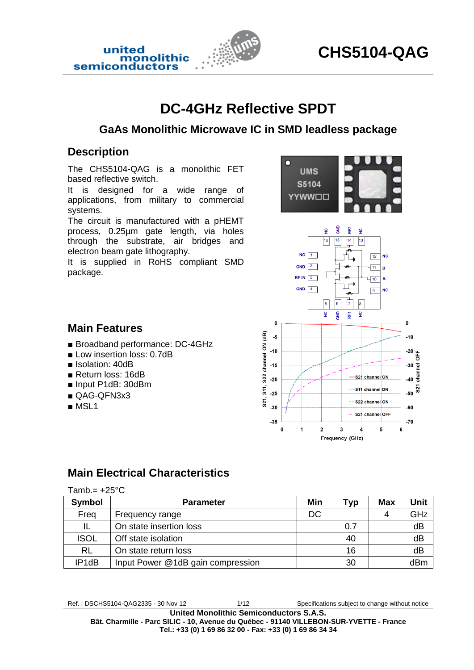# **DC-4GHz Reflective SPDT**

### **GaAs Monolithic Microwave IC in SMD leadless package**

### **Description**

united

semiconductors

The CHS5104-QAG is a monolithic FET based reflective switch.

monolithic

It is designed for a wide range of applications, from military to commercial systems.

The circuit is manufactured with a pHEMT process, 0.25µm gate length, via holes through the substrate, air bridges and electron beam gate lithography.

It is supplied in RoHS compliant SMD package.



### **Main Features**

- Broadband performance: DC-4GHz
- Low insertion loss: 0.7dB
- Isolation: 40dB
- Return loss: 16dB
- Input P1dB: 30dBm
- QAG-QFN3x3
- $MSI$  1

## **Main Electrical Characteristics**

Tamb. $= +25^{\circ}C$ 

| <b>Symbol</b> | <b>Parameter</b>                  | Min | Typ | Max | Unit |
|---------------|-----------------------------------|-----|-----|-----|------|
| Freq          | Frequency range                   | DC  |     |     | GHz  |
|               | On state insertion loss           |     | 0.7 |     | dB   |
| <b>ISOL</b>   | Off state isolation               |     | 40  |     | dB   |
| <b>RL</b>     | On state return loss              |     | 16  |     | dB   |
| IP1dB         | Input Power @1dB gain compression |     | 30  |     | dBm  |

Ref. : DSCHS5104-QAG2335 - 30 Nov 12 1/12 Specifications subject to change without notice

**United Monolithic Semiconductors S.A.S. Bât. Charmille - Parc SILIC - 10, Avenue du Québec - 91140 VILLEBON-SUR-YVETTE - France Tel.: +33 (0) 1 69 86 32 00 - Fax: +33 (0) 1 69 86 34 34**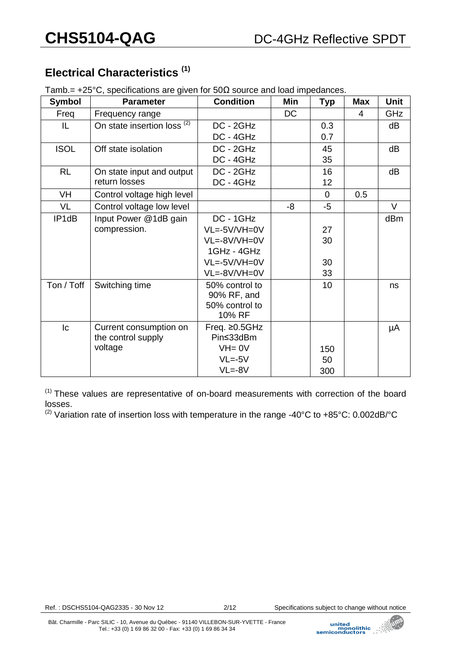# **Electrical Characteristics (1)**

| <b>Symbol</b> | <b>Parameter</b>                       | <b>Condition</b>     | Min       | <b>Typ</b> | <b>Max</b> | <b>Unit</b> |
|---------------|----------------------------------------|----------------------|-----------|------------|------------|-------------|
| Freq          | Frequency range                        |                      | <b>DC</b> |            | 4          | GHz         |
| IL            | On state insertion loss <sup>(2)</sup> | DC - 2GHz            |           | 0.3        |            | dB          |
|               |                                        | DC - 4GHz            |           | 0.7        |            |             |
| <b>ISOL</b>   | Off state isolation                    | DC - 2GHz            |           | 45         |            | dB          |
|               |                                        | DC - 4GHz            |           | 35         |            |             |
| <b>RL</b>     | On state input and output              | DC - 2GHz            |           | 16         |            | dB          |
|               | return losses                          | DC - 4GHz            |           | 12         |            |             |
| <b>VH</b>     | Control voltage high level             |                      |           | $\Omega$   | 0.5        |             |
| <b>VL</b>     | Control voltage low level              |                      | -8        | $-5$       |            | V           |
| IP1dB         | Input Power @1dB gain                  | DC - 1GHz            |           |            |            | dBm         |
|               | compression.                           | VL=-5V/VH=0V         |           | 27         |            |             |
|               |                                        | VL=-8V/VH=0V         |           | 30         |            |             |
|               |                                        | 1GHz - 4GHz          |           |            |            |             |
|               |                                        | VL=-5V/VH=0V         |           | 30         |            |             |
|               |                                        | VL=-8V/VH=0V         |           | 33         |            |             |
| Ton / Toff    | Switching time                         | 50% control to       |           | 10         |            | ns          |
|               |                                        | 90% RF, and          |           |            |            |             |
|               |                                        | 50% control to       |           |            |            |             |
|               |                                        | 10% RF               |           |            |            |             |
| Ic            | Current consumption on                 | Freq. $\geq 0.5$ GHz |           |            |            | μA          |
|               | the control supply                     | Pin≤33dBm            |           |            |            |             |
|               | voltage                                | $VH = 0V$            |           | 150        |            |             |
|               |                                        | $VL = -5V$           |           | 50         |            |             |
|               |                                        | $VL = -8V$           |           | 300        |            |             |

 $(1)$  These values are representative of on-board measurements with correction of the board losses.

<sup>(2)</sup> Variation rate of insertion loss with temperature in the range -40°C to +85°C: 0.002dB/°C

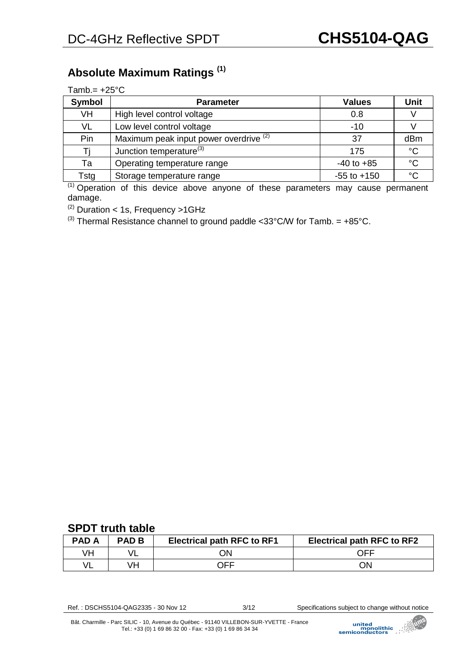# **Absolute Maximum Ratings (1)**

#### Tamb. $= +25^{\circ}C$

| Symbol | <b>Parameter</b>                       | <b>Values</b>   | <b>Unit</b> |
|--------|----------------------------------------|-----------------|-------------|
| VH     | High level control voltage             | 0.8             |             |
| VL     | Low level control voltage              | $-10$           |             |
| Pin    | Maximum peak input power overdrive (2) | 37              | dBm         |
|        | Junction temperature <sup>(3)</sup>    | 175             | $^{\circ}C$ |
| Ta     | Operating temperature range            | $-40$ to $+85$  | $^{\circ}C$ |
| Tstg   | Storage temperature range              | $-55$ to $+150$ | °C          |

 $(1)$  Operation of this device above anyone of these parameters may cause permanent damage.

 $(2)$  Duration < 1s, Frequency >1GHz

<sup>(3)</sup> Thermal Resistance channel to ground paddle <33°C/W for Tamb. =  $+85^{\circ}$ C.

#### **SPDT truth table**

| <b>PADA</b> | <b>PAD B</b> | <b>Electrical path RFC to RF1</b> | <b>Electrical path RFC to RF2</b> |
|-------------|--------------|-----------------------------------|-----------------------------------|
| ٧H          |              | ON                                | OFF                               |
| VL          | √H           | ∩FF                               | ΟN                                |

Ref. : DSCHS5104-QAG2335 - 30 Nov 12 3/12 Specifications subject to change without notice

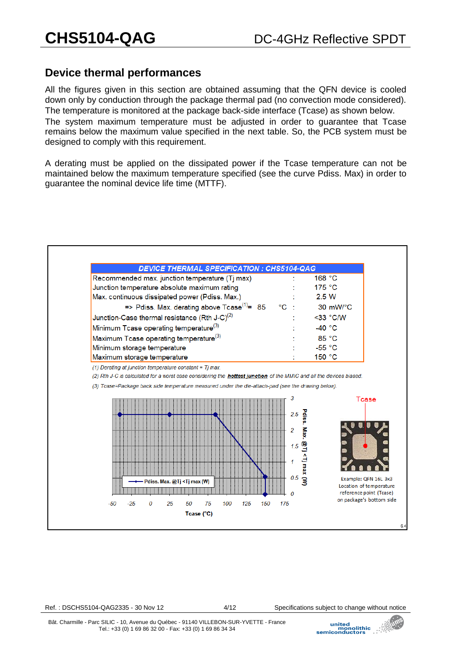### **Device thermal performances**

All the figures given in this section are obtained assuming that the QFN device is cooled down only by conduction through the package thermal pad (no convection mode considered). The temperature is monitored at the package back-side interface (Tcase) as shown below. The system maximum temperature must be adjusted in order to guarantee that Tcase remains below the maximum value specified in the next table. So, the PCB system must be designed to comply with this requirement.

A derating must be applied on the dissipated power if the Tcase temperature can not be maintained below the maximum temperature specified (see the curve Pdiss. Max) in order to guarantee the nominal device life time (MTTF).



Ref. : DSCHS5104-QAG2335 - 30 Nov 12 4/12 Specifications subject to change without notice

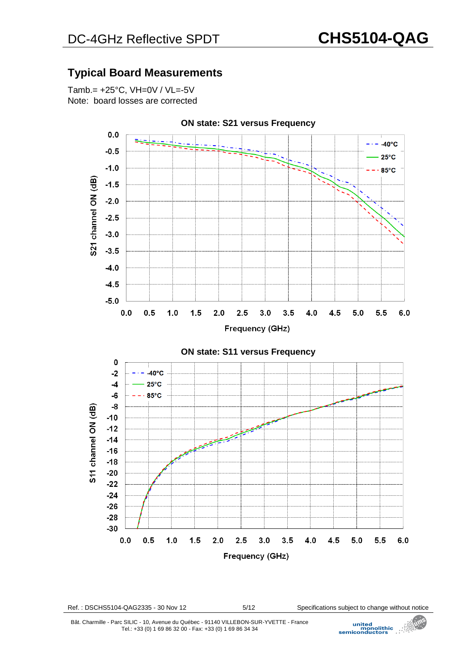Tamb.= +25°C, VH=0V / VL=-5V Note: board losses are corrected



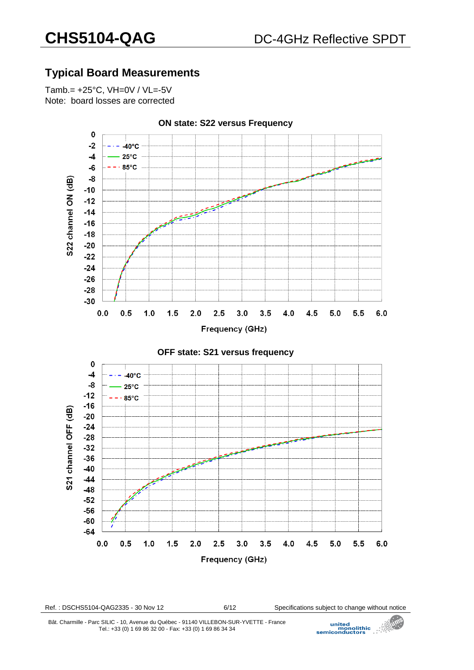Tamb.= +25°C, VH=0V / VL=-5V Note: board losses are corrected



Ref. : DSCHS5104-QAG2335 - 30 Nov 12 6/12 Specifications subject to change without notice

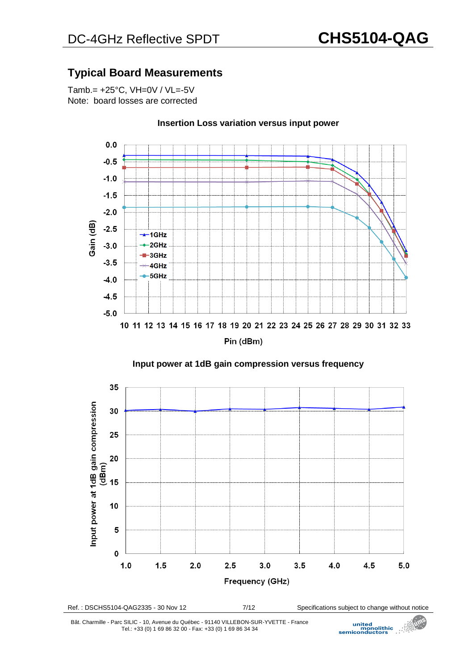Tamb.= +25°C, VH=0V / VL=-5V Note: board losses are corrected



#### **Input power at 1dB gain compression versus frequency**



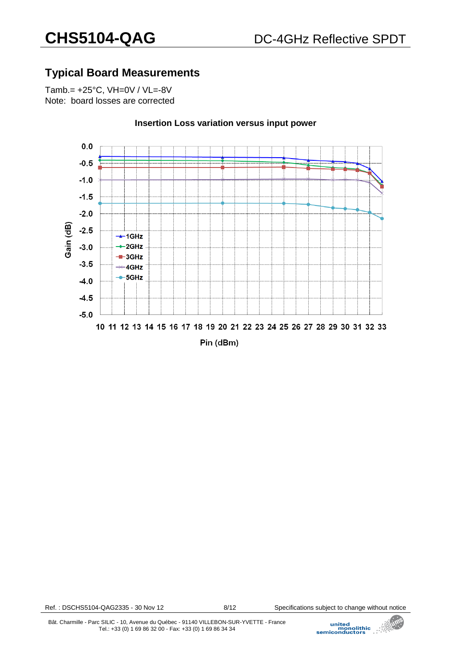Tamb.= +25°C, VH=0V / VL=-8V Note: board losses are corrected



**Insertion Loss variation versus input power**

Ref. : DSCHS5104-QAG2335 - 30 Nov 12 8/12 Specifications subject to change without notice

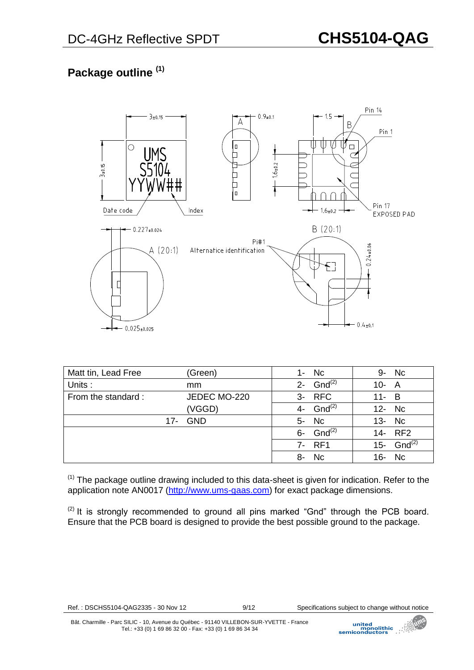## **Package outline (1)**



| Matt tin, Lead Free | (Green)       | 1- | Nc                     | Nc.<br>9-       |
|---------------------|---------------|----|------------------------|-----------------|
| Units:              | <sub>mm</sub> |    | 2- $Gnd^{(2)}$         | $10 - A$        |
| From the standard : | JEDEC MO-220  |    | 3- RFC                 | $11 - B$        |
|                     | (VGGD)        |    | 4- $Gnd^{(2)}$         | 12- Nc          |
|                     | 17- GND       |    | 5- Nc                  | 13- Nc          |
|                     |               |    | $6 - \text{Gnd}^{(2)}$ | 14- RF2         |
|                     |               |    | 7- RF1                 | 15- $Gnd^{(2)}$ |
|                     |               | 8- | <b>Nc</b>              | 16- Nc          |

(1) The package outline drawing included to this data-sheet is given for indication. Refer to the application note AN0017 [\(http://www.ums-gaas.com\)](http://www.ums-gaas.com/) for exact package dimensions.

 $(2)$  It is strongly recommended to ground all pins marked "Gnd" through the PCB board. Ensure that the PCB board is designed to provide the best possible ground to the package.

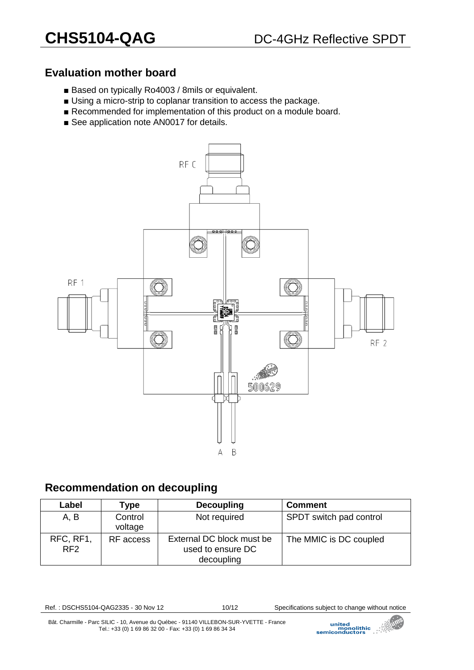### **Evaluation mother board**

- Based on typically Ro4003 / 8mils or equivalent.
- Using a micro-strip to coplanar transition to access the package.
- Recommended for implementation of this product on a module board.
- See application note AN0017 for details.



## **Recommendation on decoupling**

| Label                        | Type               | <b>Decoupling</b>                                            | <b>Comment</b>          |
|------------------------------|--------------------|--------------------------------------------------------------|-------------------------|
| A, B                         | Control<br>voltage | Not required                                                 | SPDT switch pad control |
| RFC, RF1,<br>RF <sub>2</sub> | RF access          | External DC block must be<br>used to ensure DC<br>decoupling | The MMIC is DC coupled  |

Ref. : DSCHS5104-QAG2335 - 30 Nov 12 10/12 Specifications subject to change without notice

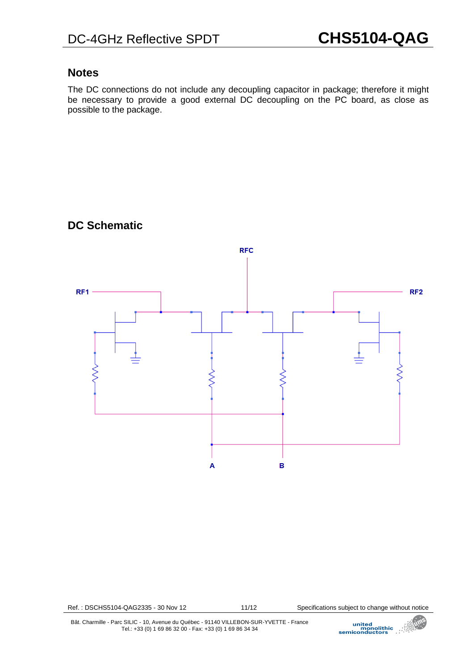### **Notes**

The DC connections do not include any decoupling capacitor in package; therefore it might be necessary to provide a good external DC decoupling on the PC board, as close as possible to the package.

### **DC Schematic**



Ref.: DSCHS5104-QAG2335 - 30 Nov 12 11/12 Specifications subject to change without notice